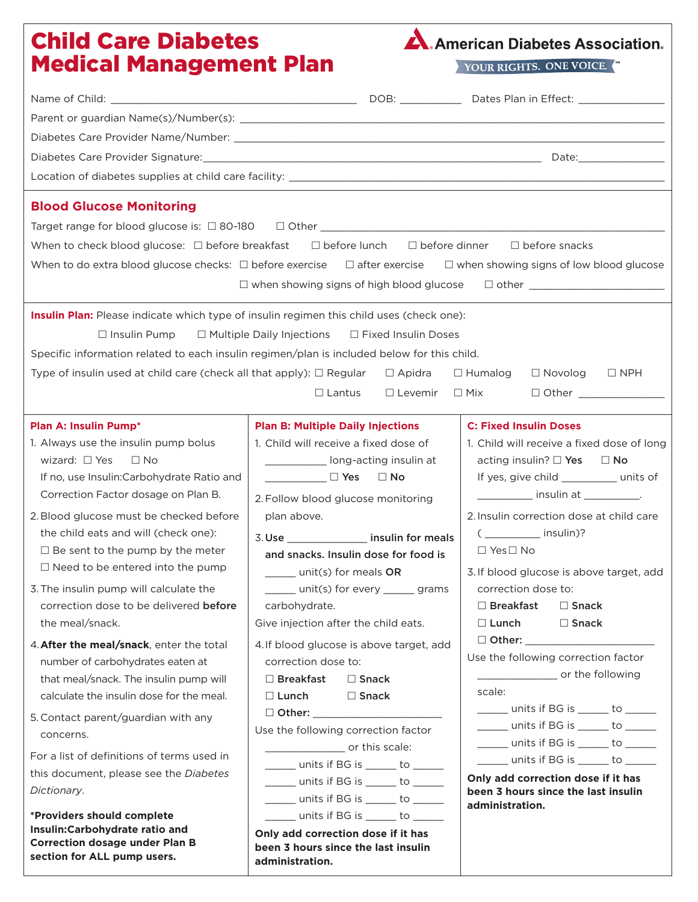# Child Care Diabetes Medical Management Plan



YOUR RIGHTS. ONE VOICE.

| <b>Blood Glucose Monitoring</b>                                                                                                        |                                                                           |                                                                                                                      |  |  |
|----------------------------------------------------------------------------------------------------------------------------------------|---------------------------------------------------------------------------|----------------------------------------------------------------------------------------------------------------------|--|--|
|                                                                                                                                        |                                                                           |                                                                                                                      |  |  |
| When to check blood glucose: $\Box$ before breakfast<br>$\Box$ before lunch $\Box$ before dinner $\Box$ before snacks                  |                                                                           |                                                                                                                      |  |  |
| When to do extra blood glucose checks: $\Box$ before exercise $\Box$ after exercise $\Box$ when showing signs of low blood glucose     |                                                                           |                                                                                                                      |  |  |
| $\Box$ when showing signs of high blood glucose $\Box$ other ______________________                                                    |                                                                           |                                                                                                                      |  |  |
| Insulin Plan: Please indicate which type of insulin regimen this child uses (check one):                                               |                                                                           |                                                                                                                      |  |  |
| $\Box$ Insulin Pump<br>$\Box$ Multiple Daily Injections $\Box$ Fixed Insulin Doses                                                     |                                                                           |                                                                                                                      |  |  |
| Specific information related to each insulin regimen/plan is included below for this child.                                            |                                                                           |                                                                                                                      |  |  |
| Type of insulin used at child care (check all that apply): $\Box$ Regular $\Box$ Apidra<br>$\Box$ Humalog<br>$\Box$ Novolog $\Box$ NPH |                                                                           |                                                                                                                      |  |  |
|                                                                                                                                        | $\Box$ Lantus                                                             |                                                                                                                      |  |  |
|                                                                                                                                        |                                                                           |                                                                                                                      |  |  |
| <b>Plan A: Insulin Pump*</b>                                                                                                           | <b>Plan B: Multiple Daily Injections</b>                                  | <b>C: Fixed Insulin Doses</b>                                                                                        |  |  |
| 1. Always use the insulin pump bolus                                                                                                   | 1. Child will receive a fixed dose of                                     | 1. Child will receive a fixed dose of long                                                                           |  |  |
| wizard: $\Box$ Yes<br>$\Box$ No                                                                                                        | ______________ long-acting insulin at                                     | acting insulin? $\square$ Yes $\square$ No                                                                           |  |  |
| If no, use Insulin: Carbohydrate Ratio and                                                                                             |                                                                           | If yes, give child __________ units of                                                                               |  |  |
| Correction Factor dosage on Plan B.                                                                                                    | 2. Follow blood glucose monitoring                                        | _____________ insulin at ____________.                                                                               |  |  |
| 2. Blood glucose must be checked before                                                                                                | plan above.                                                               | 2. Insulin correction dose at child care                                                                             |  |  |
| the child eats and will (check one):                                                                                                   | 3. Use ___________________ insulin for meals                              | $($ ______________ insulin)?                                                                                         |  |  |
| $\Box$ Be sent to the pump by the meter                                                                                                | and snacks. Insulin dose for food is                                      | $\Box$ Yes $\Box$ No                                                                                                 |  |  |
| $\Box$ Need to be entered into the pump                                                                                                | unit(s) for meals OR                                                      | 3. If blood glucose is above target, add                                                                             |  |  |
| 3. The insulin pump will calculate the                                                                                                 | ______ unit(s) for every ______ grams                                     | correction dose to:                                                                                                  |  |  |
| correction dose to be delivered before<br>the meal/snack.                                                                              | carbohydrate.<br>Give injection after the child eats.                     | $\Box$ Breakfast<br>$\square$ Snack<br>$\Box$ Lunch<br>$\square$ Snack                                               |  |  |
|                                                                                                                                        |                                                                           |                                                                                                                      |  |  |
| 4. After the meal/snack, enter the total<br>number of carbohydrates eaten at                                                           | 4. If blood glucose is above target, add<br>correction dose to:           | Use the following correction factor                                                                                  |  |  |
| that meal/snack. The insulin pump will                                                                                                 | $\Box$ Breakfast<br>$\Box$ Snack                                          | or the following                                                                                                     |  |  |
| calculate the insulin dose for the meal.                                                                                               | $\Box$ Lunch<br>$\Box$ Snack                                              | scale:                                                                                                               |  |  |
| 5. Contact parent/guardian with any                                                                                                    | □ Other: __________________                                               | ______ units if BG is ______ to ______                                                                               |  |  |
| concerns.                                                                                                                              | Use the following correction factor                                       | units if BG is ______ to _____                                                                                       |  |  |
| For a list of definitions of terms used in                                                                                             | ______________________ or this scale:                                     | $\frac{1}{\sqrt{1-\frac{1}{2}}}$ units if BG is $\frac{1}{\sqrt{1-\frac{1}{2}}}$ to $\frac{1}{\sqrt{1-\frac{1}{2}}}$ |  |  |
| this document, please see the Diabetes                                                                                                 | $\frac{1}{\sqrt{2}}$ units if BG is ______ to ______                      | ______ units if BG is ______ to _____                                                                                |  |  |
| Dictionary.                                                                                                                            | ______ units if BG is _____ to _____                                      | Only add correction dose if it has<br>been 3 hours since the last insulin                                            |  |  |
|                                                                                                                                        | $\frac{1}{1}$ units if BG is ______ to ______                             | administration.                                                                                                      |  |  |
| *Providers should complete<br>Insulin:Carbohydrate ratio and                                                                           | ______ units if BG is ______ to ______                                    |                                                                                                                      |  |  |
| <b>Correction dosage under Plan B</b>                                                                                                  | Only add correction dose if it has<br>been 3 hours since the last insulin |                                                                                                                      |  |  |
| section for ALL pump users.                                                                                                            | administration.                                                           |                                                                                                                      |  |  |